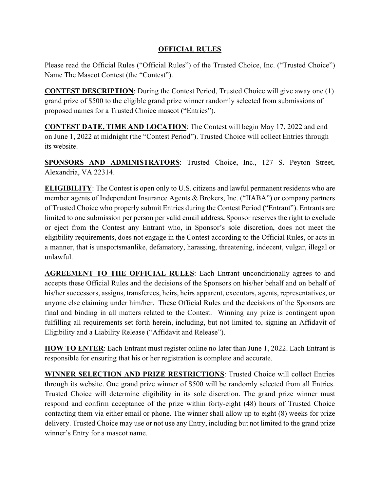## **OFFICIAL RULES**

Please read the Official Rules ("Official Rules") of the Trusted Choice, Inc. ("Trusted Choice") Name The Mascot Contest (the "Contest").

**CONTEST DESCRIPTION**: During the Contest Period, Trusted Choice will give away one (1) grand prize of \$500 to the eligible grand prize winner randomly selected from submissions of proposed names for a Trusted Choice mascot ("Entries").

**CONTEST DATE, TIME AND LOCATION**: The Contest will begin May 17, 2022 and end on June 1, 2022 at midnight (the "Contest Period"). Trusted Choice will collect Entries through its website.

**SPONSORS AND ADMINISTRATORS**: Trusted Choice, Inc., 127 S. Peyton Street, Alexandria, VA 22314.

**ELIGIBILITY**: The Contest is open only to U.S. citizens and lawful permanent residents who are member agents of Independent Insurance Agents & Brokers, Inc. ("IIABA") or company partners of Trusted Choice who properly submit Entries during the Contest Period ("Entrant"). Entrants are limited to one submission per person per valid email address**.** Sponsor reserves the right to exclude or eject from the Contest any Entrant who, in Sponsor's sole discretion, does not meet the eligibility requirements, does not engage in the Contest according to the Official Rules, or acts in a manner, that is unsportsmanlike, defamatory, harassing, threatening, indecent, vulgar, illegal or unlawful.

**AGREEMENT TO THE OFFICIAL RULES:** Each Entrant unconditionally agrees to and accepts these Official Rules and the decisions of the Sponsors on his/her behalf and on behalf of his/her successors, assigns, transferees, heirs, heirs apparent, executors, agents, representatives, or anyone else claiming under him/her. These Official Rules and the decisions of the Sponsors are final and binding in all matters related to the Contest. Winning any prize is contingent upon fulfilling all requirements set forth herein, including, but not limited to, signing an Affidavit of Eligibility and a Liability Release ("Affidavit and Release").

**HOW TO ENTER**: Each Entrant must register online no later than June 1, 2022. Each Entrant is responsible for ensuring that his or her registration is complete and accurate.

**WINNER SELECTION AND PRIZE RESTRICTIONS**: Trusted Choice will collect Entries through its website. One grand prize winner of \$500 will be randomly selected from all Entries. Trusted Choice will determine eligibility in its sole discretion. The grand prize winner must respond and confirm acceptance of the prize within forty-eight (48) hours of Trusted Choice contacting them via either email or phone. The winner shall allow up to eight (8) weeks for prize delivery. Trusted Choice may use or not use any Entry, including but not limited to the grand prize winner's Entry for a mascot name.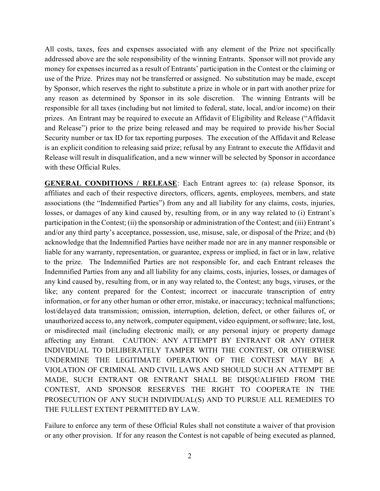All costs, taxes, fees and expenses associated with any element of the Prize not specifically addressed above are the sole responsibility of the winning Entrants. Sponsor will not provide any money for expenses incurred as a result of Entrants' participation in the Contest or the claiming or use of the Prize. Prizes may not be transferred or assigned. No substitution may be made, except by Sponsor, which reserves the right to substitute a prize in whole or in part with another prize for any reason as determined by Sponsor in its sole discretion. The winning Entrants will be responsible for all taxes (including but not limited to federal, state, local, and/or income) on their prizes. An Entrant may be required to execute an Affidavit of Eligibility and Release ("Affidavit and Release") prior to the prize being released and may be required to provide his/her Social Security number or tax ID for tax reporting purposes. The execution of the Affidavit and Release is an explicit condition to releasing said prize; refusal by any Entrant to execute the Affidavit and Release will result in disqualification, and a new winner will be selected by Sponsor in accordance with these Official Rules.

**GENERAL CONDITIONS / RELEASE**: Each Entrant agrees to: (a) release Sponsor, its affiliates and each of their respective directors, officers, agents, employees, members, and state associations (the "Indemnified Parties") from any and all liability for any claims, costs, injuries, losses, or damages of any kind caused by, resulting from, or in any way related to (i) Entrant's participation in the Contest; (ii) the sponsorship or administration of the Contest; and (iii) Entrant's and/or any third party's acceptance, possession, use, misuse, sale, or disposal of the Prize; and (b) acknowledge that the Indemnified Parties have neither made nor are in any manner responsible or liable for any warranty, representation, or guarantee, express or implied, in fact or in law, relative to the prize. The Indemnified Parties are not responsible for, and each Entrant releases the Indemnified Parties from any and all liability for any claims, costs, injuries, losses, or damages of any kind caused by, resulting from, or in any way related to, the Contest; any bugs, viruses, or the like; any content prepared for the Contest; incorrect or inaccurate transcription of entry information, or for any other human or other error, mistake, or inaccuracy; technical malfunctions; lost/delayed data transmission; omission, interruption, deletion, defect, or other failures of, or unauthorized access to, any network, computer equipment, video equipment, or software; late, lost, or misdirected mail (including electronic mail); or any personal injury or property damage affecting any Entrant. CAUTION: ANY ATTEMPT BY ENTRANT OR ANY OTHER INDIVIDUAL TO DELIBERATELY TAMPER WITH THE CONTEST, OR OTHERWISE UNDERMINE THE LEGITIMATE OPERATION OF THE CONTEST MAY BE A VIOLATION OF CRIMINAL AND CIVIL LAWS AND SHOULD SUCH AN ATTEMPT BE MADE, SUCH ENTRANT OR ENTRANT SHALL BE DISQUALIFIED FROM THE CONTEST, AND SPONSOR RESERVES THE RIGHT TO COOPERATE IN THE PROSECUTION OF ANY SUCH INDIVIDUAL(S) AND TO PURSUE ALL REMEDIES TO THE FULLEST EXTENT PERMITTED BY LAW.

Failure to enforce any term of these Official Rules shall not constitute a waiver of that provision or any other provision. If for any reason the Contest is not capable of being executed as planned,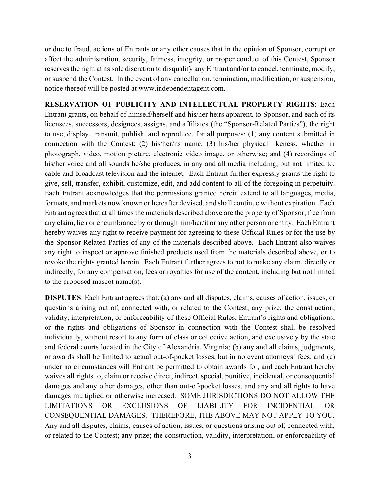or due to fraud, actions of Entrants or any other causes that in the opinion of Sponsor, corrupt or affect the administration, security, fairness, integrity, or proper conduct of this Contest, Sponsor reserves the right at its sole discretion to disqualify any Entrant and/or to cancel, terminate, modify, or suspend the Contest. In the event of any cancellation, termination, modification, or suspension, notice thereof will be posted at www.independentagent.com.

**RESERVATION OF PUBLICITY AND INTELLECTUAL PROPERTY RIGHTS**: Each Entrant grants, on behalf of himself/herself and his/her heirs apparent, to Sponsor, and each of its licensees, successors, designees, assigns, and affiliates (the "Sponsor-Related Parties"), the right to use, display, transmit, publish, and reproduce, for all purposes: (1) any content submitted in connection with the Contest; (2) his/her/its name; (3) his/her physical likeness, whether in photograph, video, motion picture, electronic video image, or otherwise; and (4) recordings of his/her voice and all sounds he/she produces, in any and all media including, but not limited to, cable and broadcast television and the internet. Each Entrant further expressly grants the right to give, sell, transfer, exhibit, customize, edit, and add content to all of the foregoing in perpetuity. Each Entrant acknowledges that the permissions granted herein extend to all languages, media, formats, and markets now known or hereafter devised, and shall continue without expiration. Each Entrant agrees that at all times the materials described above are the property of Sponsor, free from any claim, lien or encumbrance by or through him/her/it or any other person or entity. Each Entrant hereby waives any right to receive payment for agreeing to these Official Rules or for the use by the Sponsor-Related Parties of any of the materials described above. Each Entrant also waives any right to inspect or approve finished products used from the materials described above, or to revoke the rights granted herein. Each Entrant further agrees to not to make any claim, directly or indirectly, for any compensation, fees or royalties for use of the content, including but not limited to the proposed mascot name(s).

**DISPUTES**: Each Entrant agrees that: (a) any and all disputes, claims, causes of action, issues, or questions arising out of, connected with, or related to the Contest; any prize; the construction, validity, interpretation, or enforceability of these Official Rules; Entrant's rights and obligations; or the rights and obligations of Sponsor in connection with the Contest shall be resolved individually, without resort to any form of class or collective action, and exclusively by the state and federal courts located in the City of Alexandria, Virginia; (b) any and all claims, judgments, or awards shall be limited to actual out-of-pocket losses, but in no event attorneys' fees; and (c) under no circumstances will Entrant be permitted to obtain awards for, and each Entrant hereby waives all rights to, claim or receive direct, indirect, special, punitive, incidental, or consequential damages and any other damages, other than out-of-pocket losses, and any and all rights to have damages multiplied or otherwise increased. SOME JURISDICTIONS DO NOT ALLOW THE LIMITATIONS OR EXCLUSIONS OF LIABILITY FOR INCIDENTIAL OR CONSEQUENTIAL DAMAGES. THEREFORE, THE ABOVE MAY NOT APPLY TO YOU. Any and all disputes, claims, causes of action, issues, or questions arising out of, connected with, or related to the Contest; any prize; the construction, validity, interpretation, or enforceability of